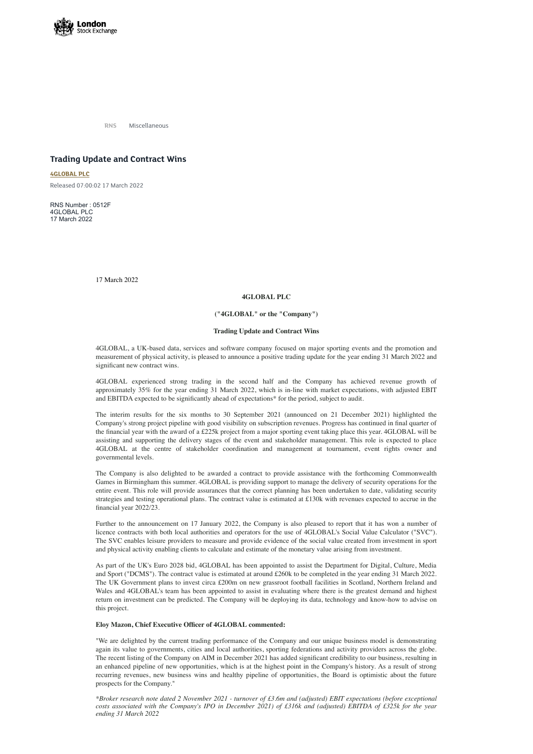

**RNS** Miscellaneous

# **Trading Update and Contract Wins**

**[4GLOBAL](https://www.londonstockexchange.com/stock/4GBL/4global-plc) PLC**

Released 07:00:02 17 March 2022

RNS Number : 0512F 4GLOBAL PLC 17 March 2022

17 March 2022

## **4GLOBAL PLC**

## **("4GLOBAL" or the "Company")**

## **Trading Update and Contract Wins**

4GLOBAL, a UK-based data, services and software company focused on major sporting events and the promotion and measurement of physical activity, is pleased to announce a positive trading update for the year ending 31 March 2022 and significant new contract wins.

4GLOBAL experienced strong trading in the second half and the Company has achieved revenue growth of approximately 35% for the year ending 31 March 2022, which is in-line with market expectations, with adjusted EBIT and EBITDA expected to be significantly ahead of expectations\* for the period, subject to audit.

The interim results for the six months to 30 September 2021 (announced on 21 December 2021) highlighted the Company's strong project pipeline with good visibility on subscription revenues. Progress has continued in final quarter of the financial year with the award of a £225k project from a major sporting event taking place this year. 4GLOBAL will be assisting and supporting the delivery stages of the event and stakeholder management. This role is expected to place 4GLOBAL at the centre of stakeholder coordination and management at tournament, event rights owner and governmental levels.

The Company is also delighted to be awarded a contract to provide assistance with the forthcoming Commonwealth Games in Birmingham this summer. 4GLOBAL is providing support to manage the delivery of security operations for the entire event. This role will provide assurances that the correct planning has been undertaken to date, validating security strategies and testing operational plans. The contract value is estimated at £130k with revenues expected to accrue in the financial year 2022/23.

\*Broker research note dated 2 November 2021 - turnover of £3.6m and (adjusted) EBIT expectations (before exceptional costs associated with the Company's IPO in December 2021) of £316k and (adjusted) EBITDA of £325k for the year *ending 31 March 2022*

Further to the announcement on 17 January 2022, the Company is also pleased to report that it has won a number of licence contracts with both local authorities and operators for the use of 4GLOBAL's Social Value Calculator ("SVC"). The SVC enables leisure providers to measure and provide evidence of the social value created from investment in sport and physical activity enabling clients to calculate and estimate of the monetary value arising from investment.

As part of the UK's Euro 2028 bid, 4GLOBAL has been appointed to assist the Department for Digital, Culture, Media

and Sport ("DCMS"). The contract value is estimated at around £260k to be completed in the year ending 31 March 2022. The UK Government plans to invest circa £200m on new grassroot football facilities in Scotland, Northern Ireland and Wales and 4GLOBAL's team has been appointed to assist in evaluating where there is the greatest demand and highest return on investment can be predicted. The Company will be deploying its data, technology and know-how to advise on this project.

## **Eloy Mazon, Chief Executive Officer of 4GLOBAL commented:**

"We are delighted by the current trading performance of the Company and our unique business model is demonstrating again its value to governments, cities and local authorities, sporting federations and activity providers across the globe. The recent listing of the Company on AIM in December 2021 has added significant credibility to our business, resulting in an enhanced pipeline of new opportunities, which is at the highest point in the Company's history. As a result of strong recurring revenues, new business wins and healthy pipeline of opportunities, the Board is optimistic about the future prospects for the Company."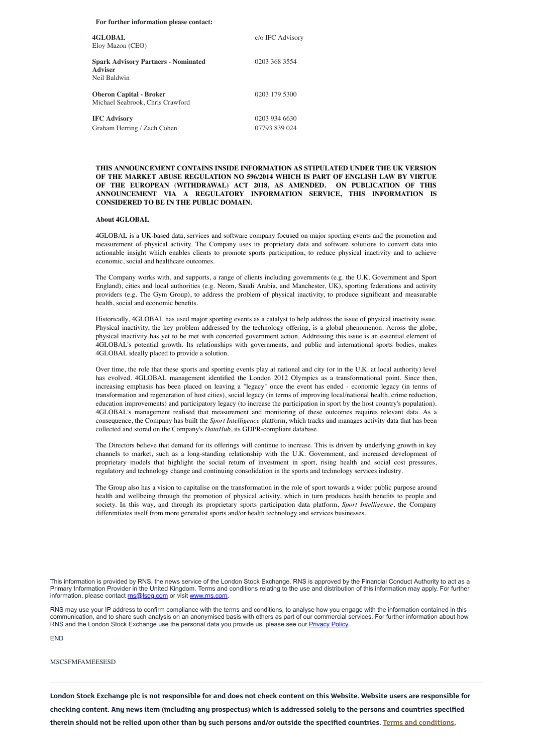#### **For further information please contact:**

| 4GLOBAL<br>Eloy Mazon (CEO)                                                  | c/o IFC Advisory               |
|------------------------------------------------------------------------------|--------------------------------|
| <b>Spark Advisory Partners - Nominated</b><br><b>Adviser</b><br>Neil Baldwin | 0203 368 3554                  |
| <b>Oberon Capital - Broker</b><br>Michael Seabrook, Chris Crawford           | 0203 179 5300                  |
| <b>IFC Advisory</b><br>Graham Herring / Zach Cohen                           | 0203 934 6630<br>07793 839 024 |

## **THIS ANNOUNCEMENT CONTAINS INSIDE INFORMATION AS STIPULATED UNDER THE UK VERSION OF THE MARKET ABUSE REGULATION NO 596/2014 WHICH IS PART OF ENGLISH LAW BY VIRTUE OF THE EUROPEAN (WITHDRAWAL) ACT 2018, AS AMENDED. ON PUBLICATION OF THIS ANNOUNCEMENT VIA A REGULATORY INFORMATION SERVICE, THIS INFORMATION IS CONSIDERED TO BE IN THE PUBLIC DOMAIN.**

#### **About 4GLOBAL**

4GLOBAL is a UK-based data, services and software company focused on major sporting events and the promotion and measurement of physical activity. The Company uses its proprietary data and software solutions to convert data into actionable insight which enables clients to promote sports participation, to reduce physical inactivity and to achieve economic, social and healthcare outcomes.

The Company works with, and supports, a range of clients including governments (e.g. the U.K. Government and Sport England), cities and local authorities (e.g. Neom, Saudi Arabia, and Manchester, UK), sporting federations and activity providers (e.g. The Gym Group), to address the problem of physical inactivity, to produce significant and measurable health, social and economic benefits.

Historically, 4GLOBAL has used major sporting events as a catalyst to help address the issue of physical inactivity issue. Physical inactivity, the key problem addressed by the technology offering, is a global phenomenon. Across the globe, physical inactivity has yet to be met with concerted government action. Addressing this issue is an essential element of 4GLOBAL's potential growth. Its relationships with governments, and public and international sports bodies, makes 4GLOBAL ideally placed to provide a solution.

This information is provided by RNS, the news service of the London Stock Exchange. RNS is approved by the Financial Conduct Authority to act as a Primary Information Provider in the United Kingdom. Terms and conditions relating to the use and distribution of this information may apply. For further information, please contact [rns@lseg.com](mailto:rns@lseg.com) or visit [www.rns.com.](http://www.rns.com/)

RNS may use your IP address to confirm compliance with the terms and conditions, to analyse how you engage with the information contained in this communication, and to share such analysis on an anonymised basis with others as part of our commercial services. For further information about how RNS and the London Stock Exchange use the personal data you provide us, please see our **[Privacy](https://www.lseg.com/privacy-and-cookie-policy) Policy**.

Over time, the role that these sports and sporting events play at national and city (or in the U.K. at local authority) level has evolved. 4GLOBAL management identified the London 2012 Olympics as a transformational point. Since then, increasing emphasis has been placed on leaving a "legacy" once the event has ended - economic legacy (in terms of transformation and regeneration of host cities), social legacy (in terms of improving local/national health, crime reduction, education improvements) and participatory legacy (to increase the participation in sport by the host country's population). 4GLOBAL's management realised that measurement and monitoring of these outcomes requires relevant data. As a consequence, the Company has built the *Sport Intelligence* platform, which tracks and manages activity data that has been collected and stored on the Company's *DataHub*, its GDPR-compliant database.

The Directors believe that demand for its offerings will continue to increase. This is driven by underlying growth in key channels to market, such as a long-standing relationship with the U.K. Government, and increased development of proprietary models that highlight the social return of investment in sport, rising health and social cost pressures, regulatory and technology change and continuing consolidation in the sports and technology services industry.

The Group also has a vision to capitalise on the transformation in the role of sport towards a wider public purpose around health and wellbeing through the promotion of physical activity, which in turn produces health benefits to people and society. In this way, and through its proprietary sports participation data platform, *Sport Intelligence*, the Company differentiates itself from more generalist sports and/or health technology and services businesses.

END

#### MSCSFMFAMEESESD

London Stock Exchange plc is not responsible for and does not check content on this Website. Website users are responsible for checking content. Any news item (including any prospectus) which is addressed solely to the persons and countries specified therein should not be relied upon other than by such persons and/or outside the specified countries. Terms and [conditions,](https://www.londonstockexchange.com/disclaimer)